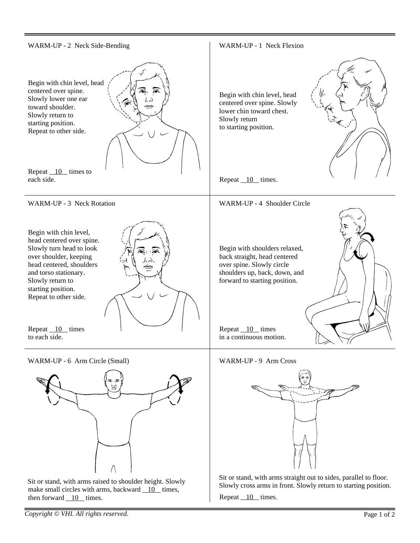

then forward 10 times.